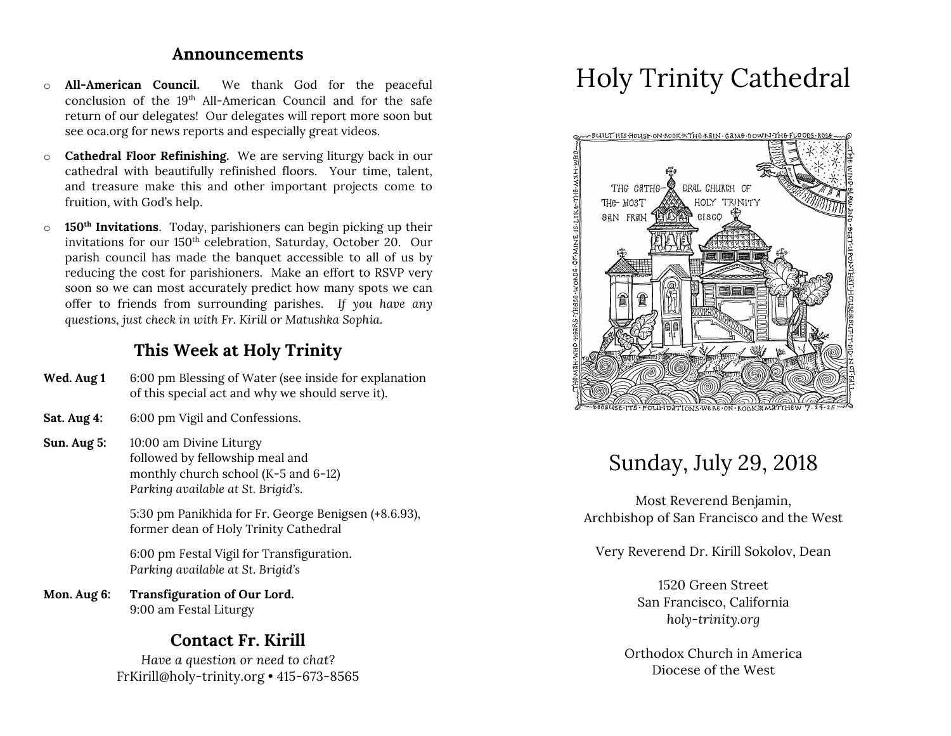### **Announcements**

- o **All-American Council.** We thank God for the peaceful conclusion of the 19th All-American Council and for the safe return of our delegates! Our delegates will report more soon but see oca.org for news reports and especially great videos.
- o **Cathedral Floor Refinishing.** We are serving liturgy back in our cathedral with beautifully refinished floors. Your time, talent, and treasure make this and other important projects come to fruition, with God's help.
- o **150th Invitations**. Today, parishioners can begin picking up their invitations for our 150<sup>th</sup> celebration, Saturday, October 20. Our parish council has made the banquet accessible to all of us by reducing the cost for parishioners. Make an effort to RSVP very soon so we can most accurately predict how many spots we can offer to friends from surrounding parishes. *If you have any questions, just check in with Fr. Kirill or Matushka Sophia*.

### **This Week at Holy Trinity**

| Wed. Aug 1 | 6:00 pm Blessing of Water (see inside for explanation |
|------------|-------------------------------------------------------|
|            | of this special act and why we should serve it).      |

- **Sat. Aug 4:** 6:00 pm Vigil and Confessions.
- **Sun. Aug 5:** 10:00 am Divine Liturgy followed by fellowship meal and monthly church school (K-5 and 6-12) *Parking available at St. Brigid's.*

5:30 pm Panikhida for Fr. George Benigsen (+8.6.93), former dean of Holy Trinity Cathedral

6:00 pm Festal Vigil for Transfiguration. *Parking available at St. Brigid's*

**Mon. Aug 6: Transfiguration of Our Lord.** 9:00 am Festal Liturgy

# **Contact Fr. Kirill**

*Have a question or need to chat?* FrKirill@holy-trinity.org • 415-673-8565

# Holy Trinity Cathedral



# Sunday, July 29, 2018

Most Reverend Benjamin, Archbishop of San Francisco and the West

Very Reverend Dr. Kirill Sokolov, Dean

1520 Green Street San Francisco, California *holy-trinity.org*

Orthodox Church in America Diocese of the West